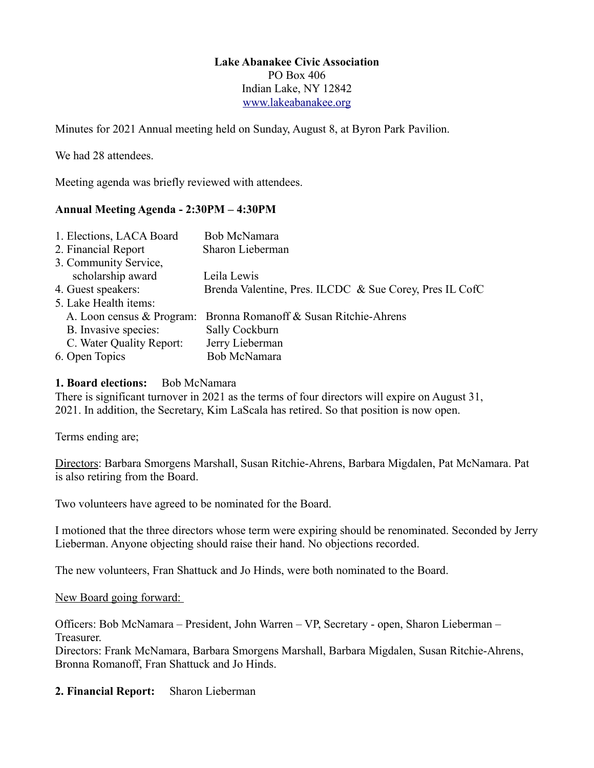#### **Lake Abanakee Civic Association** PO Box 406 Indian Lake, NY 12842 [www.lakeabanakee.org](http://www.lakeabanakee.org/)

Minutes for 2021 Annual meeting held on Sunday, August 8, at Byron Park Pavilion.

We had 28 attendees.

Meeting agenda was briefly reviewed with attendees.

## **Annual Meeting Agenda - 2:30PM – 4:30PM**

| 1. Elections, LACA Board  | Bob McNamara                                            |
|---------------------------|---------------------------------------------------------|
| 2. Financial Report       | Sharon Lieberman                                        |
| 3. Community Service,     |                                                         |
| scholarship award         | Leila Lewis                                             |
| 4. Guest speakers:        | Brenda Valentine, Pres. ILCDC & Sue Corey, Pres IL CofC |
| 5. Lake Health items:     |                                                         |
| A. Loon census & Program: | Bronna Romanoff & Susan Ritchie-Ahrens                  |
| B. Invasive species:      | Sally Cockburn                                          |
| C. Water Quality Report:  | Jerry Lieberman                                         |
| 6. Open Topics            | Bob McNamara                                            |

#### **1. Board elections:** Bob McNamara

There is significant turnover in 2021 as the terms of four directors will expire on August 31, 2021. In addition, the Secretary, Kim LaScala has retired. So that position is now open.

Terms ending are;

Directors: Barbara Smorgens Marshall, Susan Ritchie-Ahrens, Barbara Migdalen, Pat McNamara. Pat is also retiring from the Board.

Two volunteers have agreed to be nominated for the Board.

I motioned that the three directors whose term were expiring should be renominated. Seconded by Jerry Lieberman. Anyone objecting should raise their hand. No objections recorded.

The new volunteers, Fran Shattuck and Jo Hinds, were both nominated to the Board.

New Board going forward:

Officers: Bob McNamara – President, John Warren – VP, Secretary - open, Sharon Lieberman – Treasurer.

Directors: Frank McNamara, Barbara Smorgens Marshall, Barbara Migdalen, Susan Ritchie-Ahrens, Bronna Romanoff, Fran Shattuck and Jo Hinds.

**2. Financial Report:** Sharon Lieberman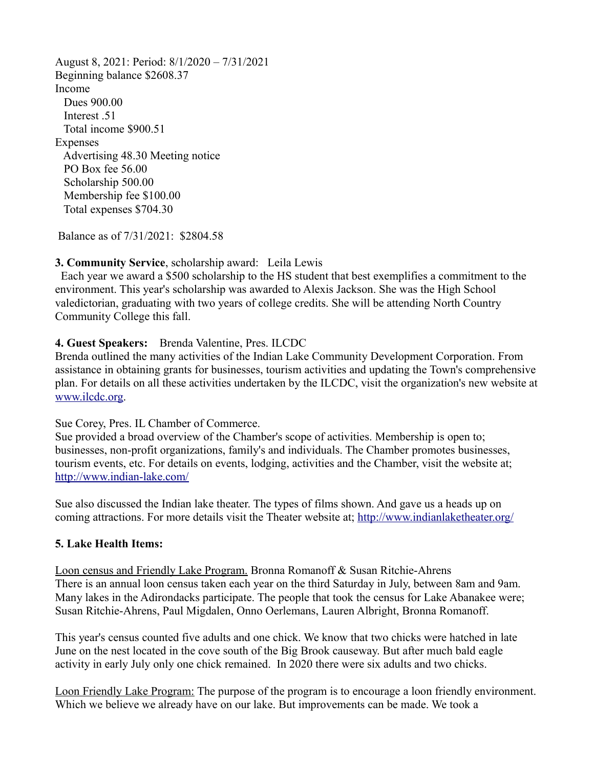August 8, 2021: Period: 8/1/2020 – 7/31/2021 Beginning balance \$2608.37 Income Dues 900.00 Interest .51 Total income \$900.51 Expenses Advertising 48.30 Meeting notice PO Box fee 56.00 Scholarship 500.00 Membership fee \$100.00 Total expenses \$704.30

Balance as of 7/31/2021: \$2804.58

#### **3. Community Service**, scholarship award: Leila Lewis

 Each year we award a \$500 scholarship to the HS student that best exemplifies a commitment to the environment. This year's scholarship was awarded to Alexis Jackson. She was the High School valedictorian, graduating with two years of college credits. She will be attending North Country Community College this fall.

#### **4. Guest Speakers:** Brenda Valentine, Pres. ILCDC

Brenda outlined the many activities of the Indian Lake Community Development Corporation. From assistance in obtaining grants for businesses, tourism activities and updating the Town's comprehensive plan. For details on all these activities undertaken by the ILCDC, visit the organization's new website at [www.ilcdc.org.](http://www.ilcdc.org/)

#### Sue Corey, Pres. IL Chamber of Commerce.

Sue provided a broad overview of the Chamber's scope of activities. Membership is open to; businesses, non-profit organizations, family's and individuals. The Chamber promotes businesses, tourism events, etc. For details on events, lodging, activities and the Chamber, visit the website at; <http://www.indian-lake.com/>

Sue also discussed the Indian lake theater. The types of films shown. And gave us a heads up on coming attractions. For more details visit the Theater website at;<http://www.indianlaketheater.org/>

#### **5. Lake Health Items:**

Loon census and Friendly Lake Program. Bronna Romanoff & Susan Ritchie-Ahrens There is an annual loon census taken each year on the third Saturday in July, between 8am and 9am. Many lakes in the Adirondacks participate. The people that took the census for Lake Abanakee were; Susan Ritchie-Ahrens, Paul Migdalen, Onno Oerlemans, Lauren Albright, Bronna Romanoff.

This year's census counted five adults and one chick. We know that two chicks were hatched in late June on the nest located in the cove south of the Big Brook causeway. But after much bald eagle activity in early July only one chick remained. In 2020 there were six adults and two chicks.

Loon Friendly Lake Program: The purpose of the program is to encourage a loon friendly environment. Which we believe we already have on our lake. But improvements can be made. We took a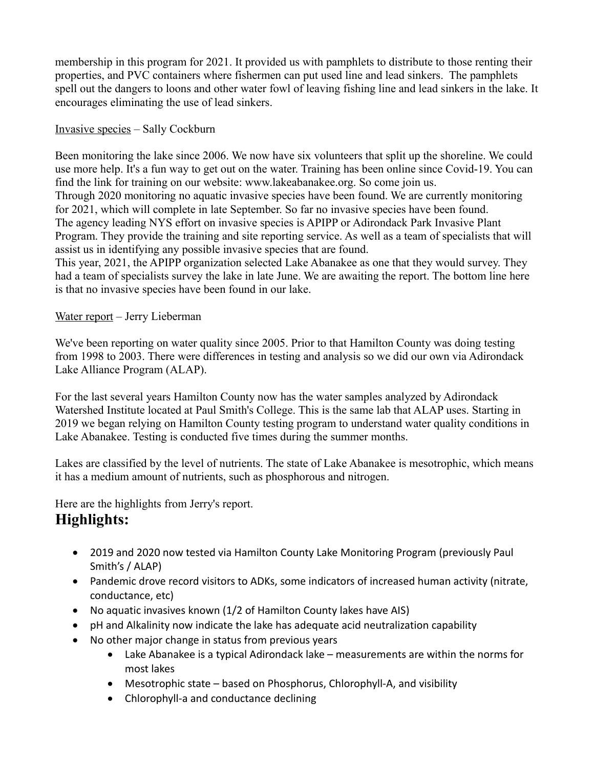membership in this program for 2021. It provided us with pamphlets to distribute to those renting their properties, and PVC containers where fishermen can put used line and lead sinkers. The pamphlets spell out the dangers to loons and other water fowl of leaving fishing line and lead sinkers in the lake. It encourages eliminating the use of lead sinkers.

## Invasive species – Sally Cockburn

Been monitoring the lake since 2006. We now have six volunteers that split up the shoreline. We could use more help. It's a fun way to get out on the water. Training has been online since Covid-19. You can find the link for training on our website: www.lakeabanakee.org. So come join us. Through 2020 monitoring no aquatic invasive species have been found. We are currently monitoring for 2021, which will complete in late September. So far no invasive species have been found. The agency leading NYS effort on invasive species is APIPP or Adirondack Park Invasive Plant Program. They provide the training and site reporting service. As well as a team of specialists that will assist us in identifying any possible invasive species that are found.

This year, 2021, the APIPP organization selected Lake Abanakee as one that they would survey. They had a team of specialists survey the lake in late June. We are awaiting the report. The bottom line here is that no invasive species have been found in our lake.

## Water report – Jerry Lieberman

We've been reporting on water quality since 2005. Prior to that Hamilton County was doing testing from 1998 to 2003. There were differences in testing and analysis so we did our own via Adirondack Lake Alliance Program (ALAP).

For the last several years Hamilton County now has the water samples analyzed by Adirondack Watershed Institute located at Paul Smith's College. This is the same lab that ALAP uses. Starting in 2019 we began relying on Hamilton County testing program to understand water quality conditions in Lake Abanakee. Testing is conducted five times during the summer months.

Lakes are classified by the level of nutrients. The state of Lake Abanakee is mesotrophic, which means it has a medium amount of nutrients, such as phosphorous and nitrogen.

Here are the highlights from Jerry's report.

# **Highlights:**

- · 2019 and 2020 now tested via Hamilton County Lake Monitoring Program (previously Paul Smith's / ALAP)
- · Pandemic drove record visitors to ADKs, some indicators of increased human activity (nitrate, conductance, etc)
- · No aquatic invasives known (1/2 of Hamilton County lakes have AIS)
- · pH and Alkalinity now indicate the lake has adequate acid neutralization capability
- · No other major change in status from previous years
	- · Lake Abanakee is a typical Adirondack lake measurements are within the norms for most lakes
	- · Mesotrophic state based on Phosphorus, Chlorophyll-A, and visibility
	- Chlorophyll-a and conductance declining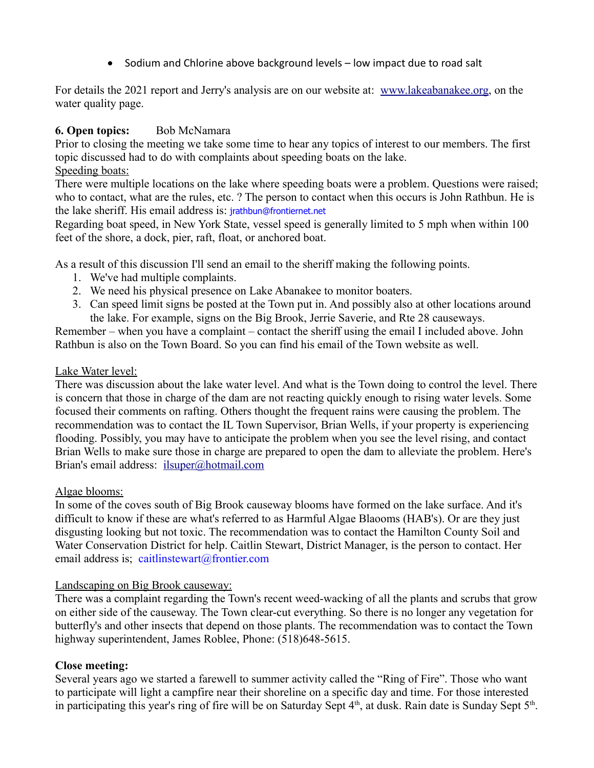· Sodium and Chlorine above background levels – low impact due to road salt

For details the 2021 report and Jerry's analysis are on our website at: [www.lakeabanakee.org,](http://www.lakeabanakee.org/) on the water quality page.

## **6. Open topics:** Bob McNamara

Prior to closing the meeting we take some time to hear any topics of interest to our members. The first topic discussed had to do with complaints about speeding boats on the lake.

## Speeding boats:

There were multiple locations on the lake where speeding boats were a problem. Questions were raised; who to contact, what are the rules, etc. ? The person to contact when this occurs is John Rathbun. He is the lake sheriff. His email address is: [jrathbun@frontiernet.net](mailto:jrathbun@frontiernet.net)

Regarding boat speed, in New York State, vessel speed is generally limited to 5 mph when within 100 feet of the shore, a dock, pier, raft, float, or anchored boat.

As a result of this discussion I'll send an email to the sheriff making the following points.

- 1. We've had multiple complaints.
- 2. We need his physical presence on Lake Abanakee to monitor boaters.
- 3. Can speed limit signs be posted at the Town put in. And possibly also at other locations around the lake. For example, signs on the Big Brook, Jerrie Saverie, and Rte 28 causeways.

Remember – when you have a complaint – contact the sheriff using the email I included above. John Rathbun is also on the Town Board. So you can find his email of the Town website as well.

## Lake Water level:

There was discussion about the lake water level. And what is the Town doing to control the level. There is concern that those in charge of the dam are not reacting quickly enough to rising water levels. Some focused their comments on rafting. Others thought the frequent rains were causing the problem. The recommendation was to contact the IL Town Supervisor, Brian Wells, if your property is experiencing flooding. Possibly, you may have to anticipate the problem when you see the level rising, and contact Brian Wells to make sure those in charge are prepared to open the dam to alleviate the problem. Here's Brian's email address: [ilsuper@hotmail.com](mailto:ilsuper@hotmail.com)

## Algae blooms:

In some of the coves south of Big Brook causeway blooms have formed on the lake surface. And it's difficult to know if these are what's referred to as Harmful Algae Blaooms (HAB's). Or are they just disgusting looking but not toxic. The recommendation was to contact the Hamilton County Soil and Water Conservation District for help. Caitlin Stewart, District Manager, is the person to contact. Her email address is; [caitlinstewart@frontier.com](mailto:caitlinstewart@frontier.com)

## Landscaping on Big Brook causeway:

There was a complaint regarding the Town's recent weed-wacking of all the plants and scrubs that grow on either side of the causeway. The Town clear-cut everything. So there is no longer any vegetation for butterfly's and other insects that depend on those plants. The recommendation was to contact the Town highway superintendent, James Roblee, Phone: (518)648-5615.

# **Close meeting:**

Several years ago we started a farewell to summer activity called the "Ring of Fire". Those who want to participate will light a campfire near their shoreline on a specific day and time. For those interested in participating this year's ring of fire will be on Saturday Sept  $4<sup>th</sup>$ , at dusk. Rain date is Sunday Sept  $5<sup>th</sup>$ .